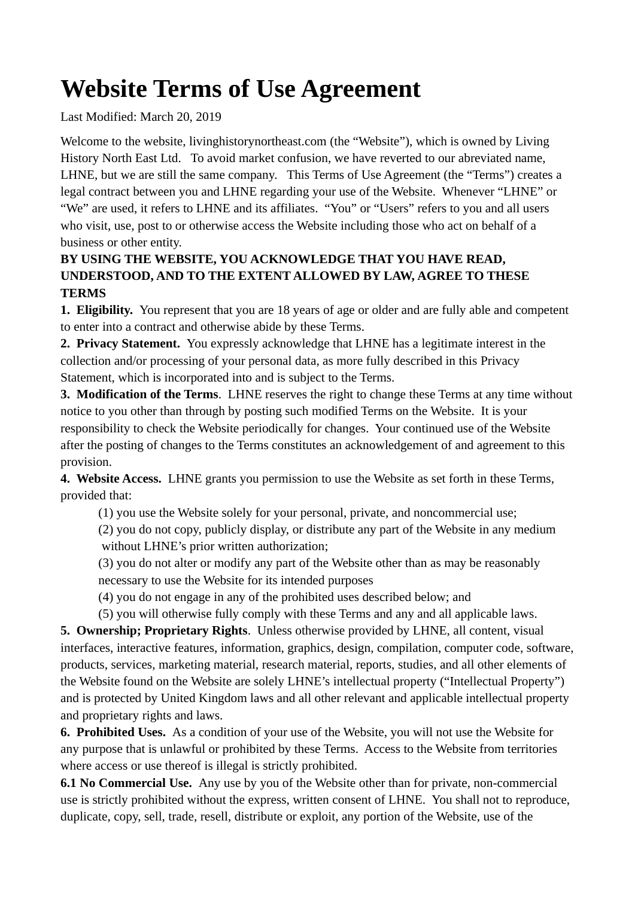## **Website Terms of Use Agreement**

Last Modified: March 20, 2019

Welcome to the website, livinghistorynortheast.com (the "Website"), which is owned by Living History North East Ltd. To avoid market confusion, we have reverted to our abreviated name, LHNE, but we are still the same company. This Terms of Use Agreement (the "Terms") creates a legal contract between you and LHNE regarding your use of the Website. Whenever "LHNE" or "We" are used, it refers to LHNE and its affiliates. "You" or "Users" refers to you and all users who visit, use, post to or otherwise access the Website including those who act on behalf of a business or other entity.

## **BY USING THE WEBSITE, YOU ACKNOWLEDGE THAT YOU HAVE READ, UNDERSTOOD, AND TO THE EXTENT ALLOWED BY LAW, AGREE TO THESE TERMS**

**1. Eligibility.** You represent that you are 18 years of age or older and are fully able and competent to enter into a contract and otherwise abide by these Terms.

**2. Privacy Statement.** You expressly acknowledge that LHNE has a legitimate interest in the collection and/or processing of your personal data, as more fully described in this Privacy Statement, which is incorporated into and is subject to the Terms.

**3. Modification of the Terms**. LHNE reserves the right to change these Terms at any time without notice to you other than through by posting such modified Terms on the Website. It is your responsibility to check the Website periodically for changes. Your continued use of the Website after the posting of changes to the Terms constitutes an acknowledgement of and agreement to this provision.

**4. Website Access.** LHNE grants you permission to use the Website as set forth in these Terms, provided that:

(1) you use the Website solely for your personal, private, and noncommercial use; (2) you do not copy, publicly display, or distribute any part of the Website in any medium

without LHNE's prior written authorization;

(3) you do not alter or modify any part of the Website other than as may be reasonably necessary to use the Website for its intended purposes

(4) you do not engage in any of the prohibited uses described below; and

(5) you will otherwise fully comply with these Terms and any and all applicable laws.

**5. Ownership; Proprietary Rights**. Unless otherwise provided by LHNE, all content, visual interfaces, interactive features, information, graphics, design, compilation, computer code, software, products, services, marketing material, research material, reports, studies, and all other elements of the Website found on the Website are solely LHNE's intellectual property ("Intellectual Property") and is protected by United Kingdom laws and all other relevant and applicable intellectual property and proprietary rights and laws.

**6. Prohibited Uses.** As a condition of your use of the Website, you will not use the Website for any purpose that is unlawful or prohibited by these Terms. Access to the Website from territories where access or use thereof is illegal is strictly prohibited.

**6.1 No Commercial Use.** Any use by you of the Website other than for private, non-commercial use is strictly prohibited without the express, written consent of LHNE. You shall not to reproduce, duplicate, copy, sell, trade, resell, distribute or exploit, any portion of the Website, use of the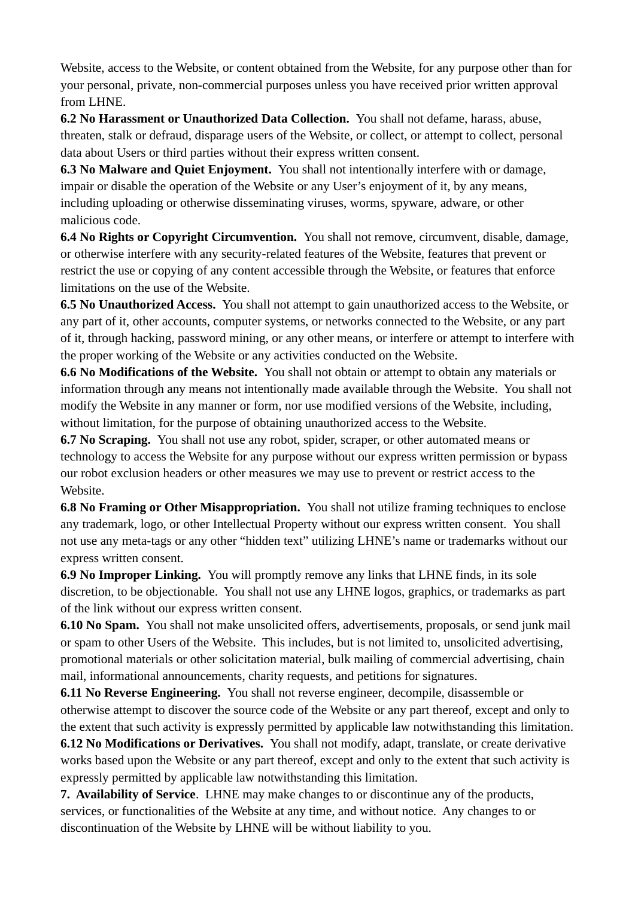Website, access to the Website, or content obtained from the Website, for any purpose other than for your personal, private, non-commercial purposes unless you have received prior written approval from LHNE.

**6.2 No Harassment or Unauthorized Data Collection.** You shall not defame, harass, abuse, threaten, stalk or defraud, disparage users of the Website, or collect, or attempt to collect, personal data about Users or third parties without their express written consent.

**6.3 No Malware and Quiet Enjoyment.** You shall not intentionally interfere with or damage, impair or disable the operation of the Website or any User's enjoyment of it, by any means, including uploading or otherwise disseminating viruses, worms, spyware, adware, or other malicious code.

**6.4 No Rights or Copyright Circumvention.** You shall not remove, circumvent, disable, damage, or otherwise interfere with any security-related features of the Website, features that prevent or restrict the use or copying of any content accessible through the Website, or features that enforce limitations on the use of the Website.

**6.5 No Unauthorized Access.** You shall not attempt to gain unauthorized access to the Website, or any part of it, other accounts, computer systems, or networks connected to the Website, or any part of it, through hacking, password mining, or any other means, or interfere or attempt to interfere with the proper working of the Website or any activities conducted on the Website.

**6.6 No Modifications of the Website.** You shall not obtain or attempt to obtain any materials or information through any means not intentionally made available through the Website. You shall not modify the Website in any manner or form, nor use modified versions of the Website, including, without limitation, for the purpose of obtaining unauthorized access to the Website.

**6.7 No Scraping.** You shall not use any robot, spider, scraper, or other automated means or technology to access the Website for any purpose without our express written permission or bypass our robot exclusion headers or other measures we may use to prevent or restrict access to the Website.

**6.8 No Framing or Other Misappropriation.** You shall not utilize framing techniques to enclose any trademark, logo, or other Intellectual Property without our express written consent. You shall not use any meta-tags or any other "hidden text" utilizing LHNE's name or trademarks without our express written consent.

**6.9 No Improper Linking.** You will promptly remove any links that LHNE finds, in its sole discretion, to be objectionable. You shall not use any LHNE logos, graphics, or trademarks as part of the link without our express written consent.

**6.10 No Spam.** You shall not make unsolicited offers, advertisements, proposals, or send junk mail or spam to other Users of the Website. This includes, but is not limited to, unsolicited advertising, promotional materials or other solicitation material, bulk mailing of commercial advertising, chain mail, informational announcements, charity requests, and petitions for signatures.

**6.11 No Reverse Engineering.** You shall not reverse engineer, decompile, disassemble or otherwise attempt to discover the source code of the Website or any part thereof, except and only to the extent that such activity is expressly permitted by applicable law notwithstanding this limitation.

**6.12 No Modifications or Derivatives.** You shall not modify, adapt, translate, or create derivative works based upon the Website or any part thereof, except and only to the extent that such activity is expressly permitted by applicable law notwithstanding this limitation.

**7. Availability of Service**. LHNE may make changes to or discontinue any of the products, services, or functionalities of the Website at any time, and without notice. Any changes to or discontinuation of the Website by LHNE will be without liability to you.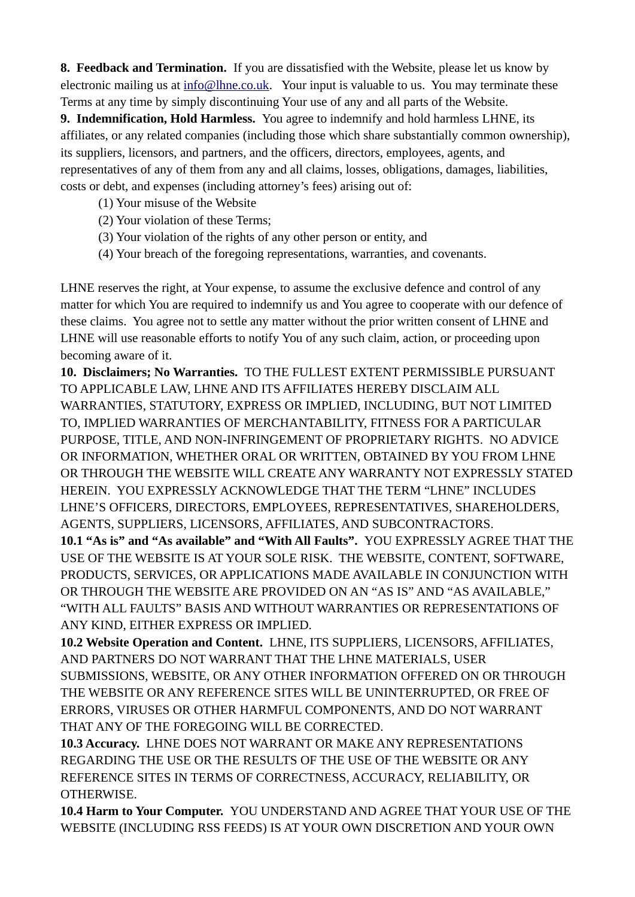**8. Feedback and Termination.** If you are dissatisfied with the Website, please let us know by electronic mailing us at  $info@lhne.co.uk$ . Your input is valuable to us. You may terminate these Terms at any time by simply discontinuing Your use of any and all parts of the Website.

**9. Indemnification, Hold Harmless.** You agree to indemnify and hold harmless LHNE, its affiliates, or any related companies (including those which share substantially common ownership), its suppliers, licensors, and partners, and the officers, directors, employees, agents, and representatives of any of them from any and all claims, losses, obligations, damages, liabilities, costs or debt, and expenses (including attorney's fees) arising out of:

- (1) Your misuse of the Website
- (2) Your violation of these Terms;
- (3) Your violation of the rights of any other person or entity, and
- (4) Your breach of the foregoing representations, warranties, and covenants.

LHNE reserves the right, at Your expense, to assume the exclusive defence and control of any matter for which You are required to indemnify us and You agree to cooperate with our defence of these claims. You agree not to settle any matter without the prior written consent of LHNE and LHNE will use reasonable efforts to notify You of any such claim, action, or proceeding upon becoming aware of it.

**10. Disclaimers; No Warranties.** TO THE FULLEST EXTENT PERMISSIBLE PURSUANT TO APPLICABLE LAW, LHNE AND ITS AFFILIATES HEREBY DISCLAIM ALL WARRANTIES, STATUTORY, EXPRESS OR IMPLIED, INCLUDING, BUT NOT LIMITED TO, IMPLIED WARRANTIES OF MERCHANTABILITY, FITNESS FOR A PARTICULAR PURPOSE, TITLE, AND NON-INFRINGEMENT OF PROPRIETARY RIGHTS. NO ADVICE OR INFORMATION, WHETHER ORAL OR WRITTEN, OBTAINED BY YOU FROM LHNE OR THROUGH THE WEBSITE WILL CREATE ANY WARRANTY NOT EXPRESSLY STATED HEREIN. YOU EXPRESSLY ACKNOWLEDGE THAT THE TERM "LHNE" INCLUDES LHNE'S OFFICERS, DIRECTORS, EMPLOYEES, REPRESENTATIVES, SHAREHOLDERS, AGENTS, SUPPLIERS, LICENSORS, AFFILIATES, AND SUBCONTRACTORS.

**10.1 "As is" and "As available" and "With All Faults".** YOU EXPRESSLY AGREE THAT THE USE OF THE WEBSITE IS AT YOUR SOLE RISK. THE WEBSITE, CONTENT, SOFTWARE, PRODUCTS, SERVICES, OR APPLICATIONS MADE AVAILABLE IN CONJUNCTION WITH OR THROUGH THE WEBSITE ARE PROVIDED ON AN "AS IS" AND "AS AVAILABLE," "WITH ALL FAULTS" BASIS AND WITHOUT WARRANTIES OR REPRESENTATIONS OF ANY KIND, EITHER EXPRESS OR IMPLIED.

**10.2 Website Operation and Content.** LHNE, ITS SUPPLIERS, LICENSORS, AFFILIATES, AND PARTNERS DO NOT WARRANT THAT THE LHNE MATERIALS, USER SUBMISSIONS, WEBSITE, OR ANY OTHER INFORMATION OFFERED ON OR THROUGH THE WEBSITE OR ANY REFERENCE SITES WILL BE UNINTERRUPTED, OR FREE OF ERRORS, VIRUSES OR OTHER HARMFUL COMPONENTS, AND DO NOT WARRANT THAT ANY OF THE FOREGOING WILL BE CORRECTED.

**10.3 Accuracy.** LHNE DOES NOT WARRANT OR MAKE ANY REPRESENTATIONS REGARDING THE USE OR THE RESULTS OF THE USE OF THE WEBSITE OR ANY REFERENCE SITES IN TERMS OF CORRECTNESS, ACCURACY, RELIABILITY, OR OTHERWISE.

**10.4 Harm to Your Computer.** YOU UNDERSTAND AND AGREE THAT YOUR USE OF THE WEBSITE (INCLUDING RSS FEEDS) IS AT YOUR OWN DISCRETION AND YOUR OWN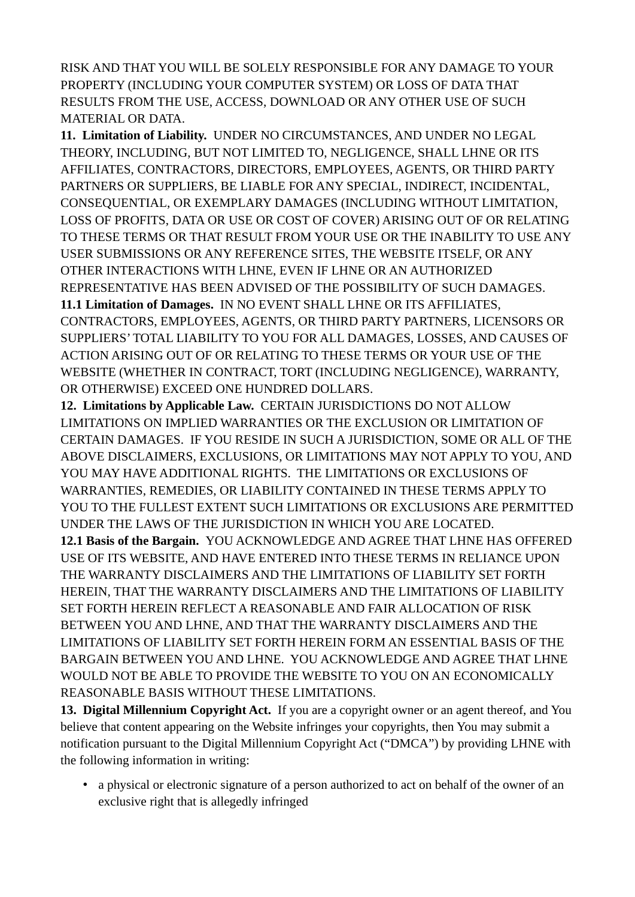RISK AND THAT YOU WILL BE SOLELY RESPONSIBLE FOR ANY DAMAGE TO YOUR PROPERTY (INCLUDING YOUR COMPUTER SYSTEM) OR LOSS OF DATA THAT RESULTS FROM THE USE, ACCESS, DOWNLOAD OR ANY OTHER USE OF SUCH MATERIAL OR DATA.

**11. Limitation of Liability.** UNDER NO CIRCUMSTANCES, AND UNDER NO LEGAL THEORY, INCLUDING, BUT NOT LIMITED TO, NEGLIGENCE, SHALL LHNE OR ITS AFFILIATES, CONTRACTORS, DIRECTORS, EMPLOYEES, AGENTS, OR THIRD PARTY PARTNERS OR SUPPLIERS, BE LIABLE FOR ANY SPECIAL, INDIRECT, INCIDENTAL, CONSEQUENTIAL, OR EXEMPLARY DAMAGES (INCLUDING WITHOUT LIMITATION, LOSS OF PROFITS, DATA OR USE OR COST OF COVER) ARISING OUT OF OR RELATING TO THESE TERMS OR THAT RESULT FROM YOUR USE OR THE INABILITY TO USE ANY USER SUBMISSIONS OR ANY REFERENCE SITES, THE WEBSITE ITSELF, OR ANY OTHER INTERACTIONS WITH LHNE, EVEN IF LHNE OR AN AUTHORIZED REPRESENTATIVE HAS BEEN ADVISED OF THE POSSIBILITY OF SUCH DAMAGES.

**11.1 Limitation of Damages.** IN NO EVENT SHALL LHNE OR ITS AFFILIATES, CONTRACTORS, EMPLOYEES, AGENTS, OR THIRD PARTY PARTNERS, LICENSORS OR SUPPLIERS' TOTAL LIABILITY TO YOU FOR ALL DAMAGES, LOSSES, AND CAUSES OF ACTION ARISING OUT OF OR RELATING TO THESE TERMS OR YOUR USE OF THE WEBSITE (WHETHER IN CONTRACT, TORT (INCLUDING NEGLIGENCE), WARRANTY, OR OTHERWISE) EXCEED ONE HUNDRED DOLLARS.

**12. Limitations by Applicable Law.** CERTAIN JURISDICTIONS DO NOT ALLOW LIMITATIONS ON IMPLIED WARRANTIES OR THE EXCLUSION OR LIMITATION OF CERTAIN DAMAGES. IF YOU RESIDE IN SUCH A JURISDICTION, SOME OR ALL OF THE ABOVE DISCLAIMERS, EXCLUSIONS, OR LIMITATIONS MAY NOT APPLY TO YOU, AND YOU MAY HAVE ADDITIONAL RIGHTS. THE LIMITATIONS OR EXCLUSIONS OF WARRANTIES, REMEDIES, OR LIABILITY CONTAINED IN THESE TERMS APPLY TO YOU TO THE FULLEST EXTENT SUCH LIMITATIONS OR EXCLUSIONS ARE PERMITTED UNDER THE LAWS OF THE JURISDICTION IN WHICH YOU ARE LOCATED. **12.1 Basis of the Bargain.** YOU ACKNOWLEDGE AND AGREE THAT LHNE HAS OFFERED USE OF ITS WEBSITE, AND HAVE ENTERED INTO THESE TERMS IN RELIANCE UPON THE WARRANTY DISCLAIMERS AND THE LIMITATIONS OF LIABILITY SET FORTH HEREIN, THAT THE WARRANTY DISCLAIMERS AND THE LIMITATIONS OF LIABILITY SET FORTH HEREIN REFLECT A REASONABLE AND FAIR ALLOCATION OF RISK BETWEEN YOU AND LHNE, AND THAT THE WARRANTY DISCLAIMERS AND THE LIMITATIONS OF LIABILITY SET FORTH HEREIN FORM AN ESSENTIAL BASIS OF THE BARGAIN BETWEEN YOU AND LHNE. YOU ACKNOWLEDGE AND AGREE THAT LHNE WOULD NOT BE ABLE TO PROVIDE THE WEBSITE TO YOU ON AN ECONOMICALLY REASONABLE BASIS WITHOUT THESE LIMITATIONS.

**13. Digital Millennium Copyright Act.** If you are a copyright owner or an agent thereof, and You believe that content appearing on the Website infringes your copyrights, then You may submit a notification pursuant to the Digital Millennium Copyright Act ("DMCA") by providing LHNE with the following information in writing:

• a physical or electronic signature of a person authorized to act on behalf of the owner of an exclusive right that is allegedly infringed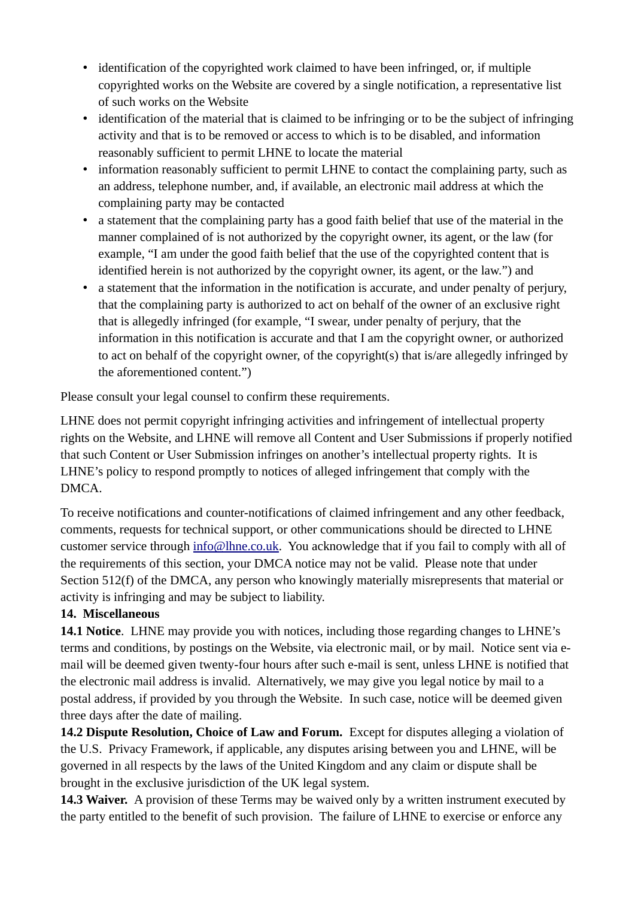- identification of the copyrighted work claimed to have been infringed, or, if multiple copyrighted works on the Website are covered by a single notification, a representative list of such works on the Website
- identification of the material that is claimed to be infringing or to be the subject of infringing activity and that is to be removed or access to which is to be disabled, and information reasonably sufficient to permit LHNE to locate the material
- information reasonably sufficient to permit LHNE to contact the complaining party, such as an address, telephone number, and, if available, an electronic mail address at which the complaining party may be contacted
- a statement that the complaining party has a good faith belief that use of the material in the manner complained of is not authorized by the copyright owner, its agent, or the law (for example, "I am under the good faith belief that the use of the copyrighted content that is identified herein is not authorized by the copyright owner, its agent, or the law.") and
- a statement that the information in the notification is accurate, and under penalty of perjury, that the complaining party is authorized to act on behalf of the owner of an exclusive right that is allegedly infringed (for example, "I swear, under penalty of perjury, that the information in this notification is accurate and that I am the copyright owner, or authorized to act on behalf of the copyright owner, of the copyright(s) that is/are allegedly infringed by the aforementioned content.")

Please consult your legal counsel to confirm these requirements.

LHNE does not permit copyright infringing activities and infringement of intellectual property rights on the Website, and LHNE will remove all Content and User Submissions if properly notified that such Content or User Submission infringes on another's intellectual property rights. It is LHNE's policy to respond promptly to notices of alleged infringement that comply with the DMCA.

To receive notifications and counter-notifications of claimed infringement and any other feedback, comments, requests for technical support, or other communications should be directed to LHNE customer service through [info@lhne.co.uk](mailto:info@lhne.co.uk). You acknowledge that if you fail to comply with all of the requirements of this section, your DMCA notice may not be valid. Please note that under Section 512(f) of the DMCA, any person who knowingly materially misrepresents that material or activity is infringing and may be subject to liability.

## **14. Miscellaneous**

**14.1 Notice**. LHNE may provide you with notices, including those regarding changes to LHNE's terms and conditions, by postings on the Website, via electronic mail, or by mail. Notice sent via email will be deemed given twenty-four hours after such e-mail is sent, unless LHNE is notified that the electronic mail address is invalid. Alternatively, we may give you legal notice by mail to a postal address, if provided by you through the Website. In such case, notice will be deemed given three days after the date of mailing.

**14.2 Dispute Resolution, Choice of Law and Forum.** Except for disputes alleging a violation of the U.S. Privacy Framework, if applicable, any disputes arising between you and LHNE, will be governed in all respects by the laws of the United Kingdom and any claim or dispute shall be brought in the exclusive jurisdiction of the UK legal system.

**14.3 Waiver.** A provision of these Terms may be waived only by a written instrument executed by the party entitled to the benefit of such provision. The failure of LHNE to exercise or enforce any